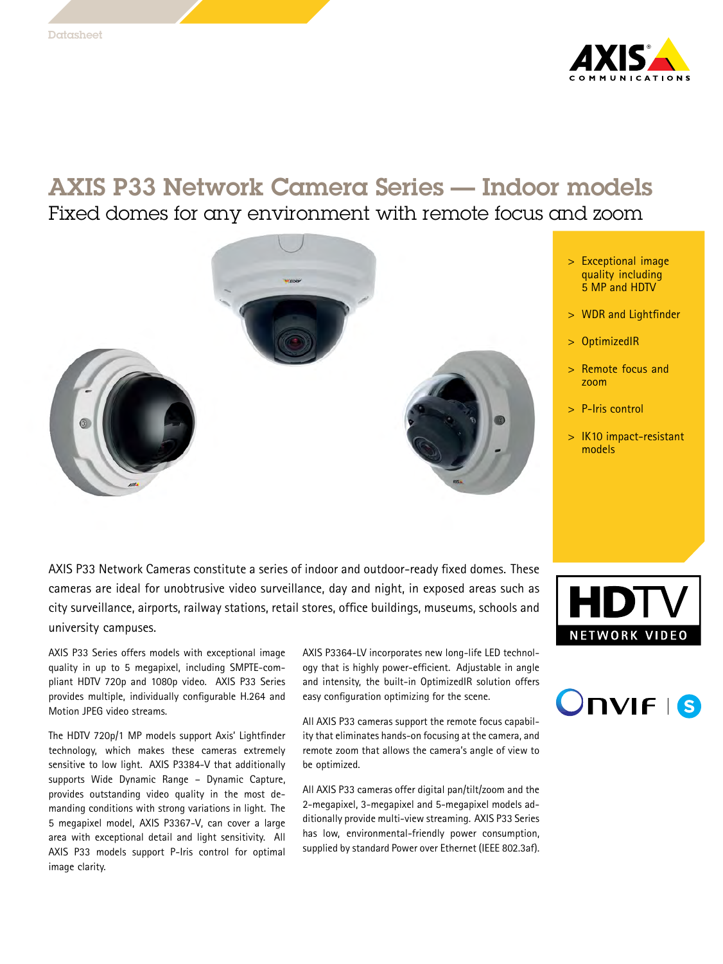

# AXIS P33 Network Camera Series — Indoor models

Fixed domes for any environment with remote focus and zoom



AXIS P33 Network Cameras constitute <sup>a</sup> series of indoor and outdoor-ready fixed domes. These cameras are ideal for unobtrusive video surveillance, day and night, in exposed areas such as city surveillance, airports, railway stations, retail stores, office buildings, museums, schools and university campuses.

AXIS P33 Series offers models with exceptional image quality in up to <sup>5</sup> megapixel, including SMPTE-com<sup>p</sup>liant HDTV 720p and 1080p video. AXIS P33 Series provides multiple, individually configurable H.264 and Motion JPEG video streams.

The HDTV 720p/1 MP models support Axis' Lightfinder technology, which makes these cameras extremely sensitive to low light. AXIS P3384-V that additionally supports Wide Dynamic Range – Dynamic Capture, provides outstanding video quality in the most demanding conditions with strong variations in light. The <sup>5</sup> megapixel model, AXIS P3367-V, can cover <sup>a</sup> large area with exceptional detail and light sensitivity. All AXIS P33 models support P-Iris control for optimal image clarity.

AXIS P3364-LV incorporates new long-life LED technology that is highly power-efficient. Adjustable in angle and intensity, the built-in OptimizedIR solution offers easy configuration optimizing for the scene.

All AXIS P33 cameras support the remote focus capability that eliminates hands-on focusing at the camera, and remote zoom that allows the camera's angle of view to be optimized.

All AXIS P33 cameras offer digital pan/tilt/zoom and the 2-megapixel, 3-megapixel and 5-megapixel models additionally provide multi-view streaming. AXIS P33 Series has low, environmental-friendly power consumption, supplied by standard Power over Ethernet (IEEE 802.3af).



- <sup>&</sup>gt; WDR and Lightfinder
- <sup>&</sup>gt; OptimizedIR
- <sup>&</sup>gt; Remote focus and zoom
- <sup>&</sup>gt; P-Iris control
- <sup>&</sup>gt; IK10 impact-resistant models



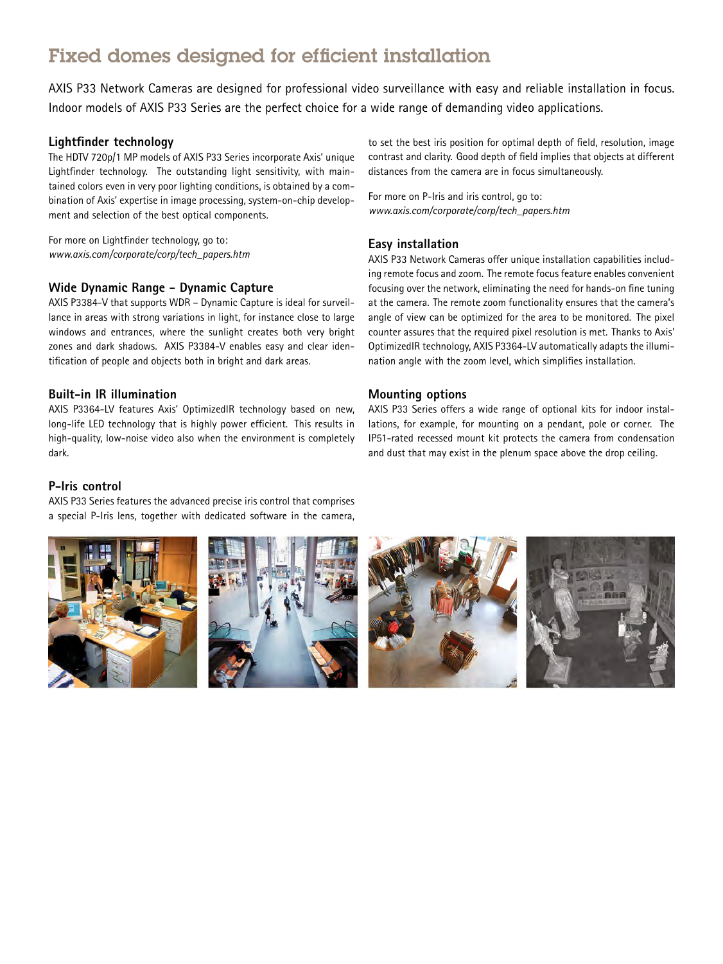# Fixed domes designed for efficient installation

AXIS P33 Network Cameras are designed for professional video surveillance with easy and reliable installation in focus. Indoor models of AXIS P33 Series are the perfect choice for <sup>a</sup> wide range of demanding video applications.

#### **Lightfinder technology**

The HDTV 720p/1 MP models of AXIS P33 Series incorporate Axis' unique Lightfinder technology. The outstanding light sensitivity, with maintained colors even in very poor lighting conditions, is obtained by <sup>a</sup> combination of Axis' expertise in image processing, system-on-chip development and selection of the best optical components.

For more on Lightfinder technology, go to: *www.axis.com/corporate/corp/tech\_papers.htm*

#### **Wide Dynamic Range - Dynamic Capture**

AXIS P3384-V that supports WDR – Dynamic Capture is ideal for surveillance in areas with strong variations in light, for instance close to large windows and entrances, where the sunlight creates both very bright zones and dark shadows. AXIS P3384-V enables easy and clear identification of people and objects both in bright and dark areas.

#### **Built-in IR illumination**

AXIS P3364-LV features Axis' OptimizedIR technology based on new, long-life LED technology that is highly power efficient. This results in high-quality, low-noise video also when the environment is completely dark.

#### **P-Iris control**

AXIS P33 Series features the advanced precise iris control that comprises <sup>a</sup> special P-Iris lens, together with dedicated software in the camera,

to set the best iris position for optimal depth of field, resolution, image contrast and clarity. Good depth of field implies that objects at different distances from the camera are in focus simultaneously.

For more on P-Iris and iris control, go to: *www.axis.com/corporate/corp/tech\_papers.htm*

#### **Easy installation**

AXIS P33 Network Cameras offer unique installation capabilities including remote focus and zoom. The remote focus feature enables convenient focusing over the network, eliminating the need for hands-on fine tuning at the camera. The remote zoom functionality ensures that the camera's angle of view can be optimized for the area to be monitored. The <sup>p</sup>ixel counter assures that the required <sup>p</sup>ixel resolution is met. Thanks to Axis' OptimizedIR technology, AXIS P3364-LV automatically adapts the illumination angle with the zoom level, which simplifies installation.

#### **Mounting options**

AXIS P33 Series offers <sup>a</sup> wide range of optional kits for indoor installations, for example, for mounting on <sup>a</sup> pendant, pole or corner. The IP51-rated recessed mount kit protects the camera from condensation and dust that may exist in the <sup>p</sup>lenum space above the drop ceiling.

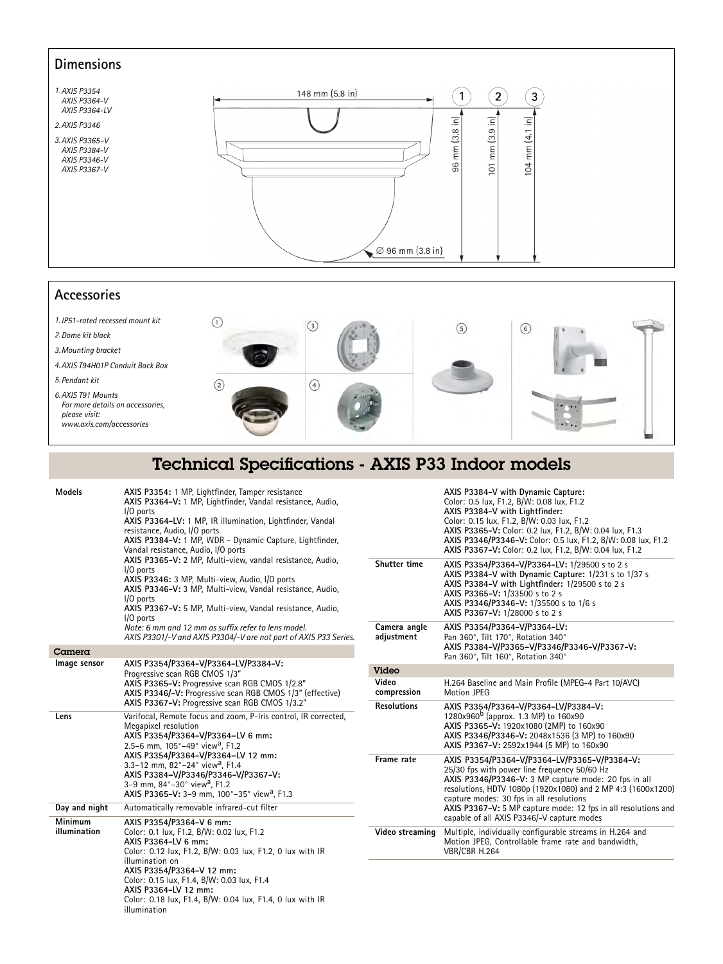### **Dimensions**



## **Accessories**

*1.IP51-rated recessed mount kit*  $\odot$  $\circ$  $\odot$  $\odot$ *2.Dome kit black 3.Mounting bracket 4.AXIS T94H01P Conduit Back Box 5.Pendant kit*  $\odot$  $\odot$ *6.AXIS T91 Mounts For more details on accessories, <sup>p</sup>lease visit: www.axis.com/accessories*

|               |                                                  | Technical Specifications - AXIS P33 Indoor models |
|---------------|--------------------------------------------------|---------------------------------------------------|
| <b>Models</b> | AXIS P3354: 1 MP. Lightfinder. Tamper resistance | AXIS P3384-V with Dynamic Capture:                |

|                         | rous rooo n r wir, aightimaci, ramper resistance<br>AXIS P3364-V: 1 MP, Lightfinder, Vandal resistance, Audio,<br>$1/0$ ports<br>AXIS P3364-LV: 1 MP, IR illumination, Lightfinder, Vandal<br>resistance, Audio, I/O ports<br>AXIS P3384-V: 1 MP, WDR - Dynamic Capture, Lightfinder,<br>Vandal resistance, Audio, I/O ports<br>AXIS P3365-V: 2 MP, Multi-view, vandal resistance, Audio,<br>$1/0$ ports<br>AXIS P3346: 3 MP, Multi-view, Audio, I/O ports<br>AXIS P3346-V: 3 MP, Multi-view, Vandal resistance, Audio,<br>$1/0$ ports<br>AXIS P3367-V: 5 MP, Multi-view, Vandal resistance, Audio,<br>$1/0$ ports<br>Note: 6 mm and 12 mm as suffix refer to lens model.<br>AXIS P3301/-V and AXIS P3304/-V are not part of AXIS P33 Series. |
|-------------------------|-----------------------------------------------------------------------------------------------------------------------------------------------------------------------------------------------------------------------------------------------------------------------------------------------------------------------------------------------------------------------------------------------------------------------------------------------------------------------------------------------------------------------------------------------------------------------------------------------------------------------------------------------------------------------------------------------------------------------------------------------|
| Camera                  |                                                                                                                                                                                                                                                                                                                                                                                                                                                                                                                                                                                                                                                                                                                                               |
| Image sensor            | AXIS P3354/P3364-V/P3364-LV/P3384-V:<br>Progressive scan RGB CMOS 1/3"<br>AXIS P3365-V: Progressive scan RGB CMOS 1/2.8"<br>AXIS P3346/-V: Progressive scan RGB CMOS 1/3" (effective)<br>AXIS P3367-V: Progressive scan RGB CMOS 1/3.2"                                                                                                                                                                                                                                                                                                                                                                                                                                                                                                       |
| Lens                    | Varifocal, Remote focus and zoom, P-Iris control, IR corrected,<br>Megapixel resolution<br>AXIS P3354/P3364-V/P3364-LV 6 mm:<br>2.5-6 mm, 105°-49° view <sup>a</sup> , F1.2<br>AXIS P3354/P3364-V/P3364-LV 12 mm:<br>3.3-12 mm. 82°-24° view <sup>a</sup> . F1.4<br>AXIS P3384-V/P3346/P3346-V/P3367-V:<br>3-9 mm, 84°-30° view <sup>a</sup> , F1.2<br>AXIS P3365-V: 3-9 mm, 100°-35° view <sup>a</sup> , F1.3                                                                                                                                                                                                                                                                                                                                |
| Day and night           | Automatically removable infrared-cut filter                                                                                                                                                                                                                                                                                                                                                                                                                                                                                                                                                                                                                                                                                                   |
| Minimum<br>illumination | AXIS P3354/P3364-V 6 mm:<br>Color: 0.1 lux, F1.2, B/W: 0.02 lux, F1.2<br>AXIS P3364-LV 6 mm:<br>Color: 0.12 lux, F1.2, B/W: 0.03 lux, F1.2, 0 lux with IR<br>illumination on<br>AXIS P3354/P3364-V 12 mm:<br>Color: 0.15 lux, F1.4, B/W: 0.03 lux, F1.4<br>AXIS P3364-LV 12 mm:<br>Color: 0.18 lux, F1.4, B/W: 0.04 lux, F1.4, 0 lux with IR<br>illumination                                                                                                                                                                                                                                                                                                                                                                                  |

| AXIS P3384-V with Dynamic Capture:<br>Color: 0.5 lux, F1.2, B/W: 0.08 lux, F1.2<br>AXIS P3384-V with Lightfinder:<br>Color: 0.15 lux, F1.2, B/W: 0.03 lux, F1.2<br>AXIS P3365-V: Color: 0.2 lux, F1.2, B/W: 0.04 lux, F1.3<br>AXIS P3346/P3346-V: Color: 0.5 lux, F1.2, B/W: 0.08 lux, F1.2<br>AXIS P3367-V: Color: 0.2 lux. F1.2. B/W: 0.04 lux. F1.2                           |
|----------------------------------------------------------------------------------------------------------------------------------------------------------------------------------------------------------------------------------------------------------------------------------------------------------------------------------------------------------------------------------|
| AXIS P3354/P3364-V/P3364-LV: 1/29500 s to 2 s<br>AXIS P3384-V with Dynamic Capture: 1/231 s to 1/37 s<br>AXIS P3384-V with Lightfinder: 1/29500 s to 2 s<br>AXIS P3365-V: 1/33500 s to 2 s<br>AXIS P3346/P3346-V: 1/35500 s to 1/6 s<br>AXIS P3367-V: 1/28000 s to 2 s                                                                                                           |
| AXIS P3354/P3364-V/P3364-LV:<br>Pan 360°, Tilt 170°, Rotation 340°<br>AXIS P3384-V/P3365-V/P3346/P3346-V/P3367-V:<br>Pan 360°, Tilt 160°, Rotation 340°                                                                                                                                                                                                                          |
|                                                                                                                                                                                                                                                                                                                                                                                  |
| H.264 Baseline and Main Profile (MPEG-4 Part 10/AVC)<br>Motion IPFG                                                                                                                                                                                                                                                                                                              |
| AXIS P3354/P3364-V/P3364-LV/P3384-V:<br>1280x960 <sup>b</sup> (approx. 1.3 MP) to 160x90<br>AXIS P3365-V: 1920x1080 (2MP) to 160x90<br>AXIS P3346/P3346-V: 2048x1536 (3 MP) to 160x90<br>AXIS P3367-V: 2592x1944 (5 MP) to 160x90                                                                                                                                                |
| AXIS P3354/P3364-V/P3364-LV/P3365-V/P3384-V:<br>25/30 fps with power line frequency 50/60 Hz<br>AXIS P3346/P3346-V: 3 MP capture mode: 20 fps in all<br>resolutions, HDTV 1080p (1920x1080) and 2 MP 4:3 (1600x1200)<br>capture modes: 30 fps in all resolutions<br>AXIS P3367-V: 5 MP capture mode: 12 fps in all resolutions and<br>capable of all AXIS P3346/-V capture modes |
| Multiple, individually configurable streams in H.264 and<br>Motion JPEG. Controllable frame rate and bandwidth.<br>VBR/CBR H.264                                                                                                                                                                                                                                                 |
|                                                                                                                                                                                                                                                                                                                                                                                  |